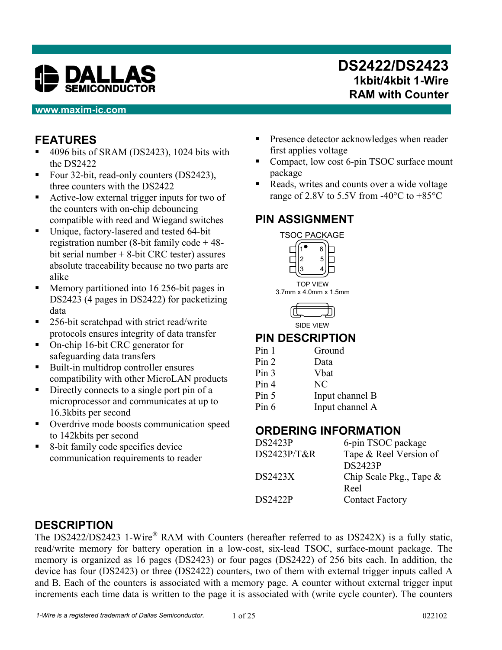

#### **www.maxim-ic.com**

## **DS2422/DS2423 1kbit/4kbit 1-Wire RAM with Counter**

## **FEATURES**

- $\blacksquare$  4096 bits of SRAM (DS2423), 1024 bits with the DS2422
- Four 32-bit, read-only counters (DS2423), three counters with the DS2422
- Active-low external trigger inputs for two of the counters with on-chip debouncing compatible with reed and Wiegand switches
- Unique, factory-lasered and tested 64-bit registration number (8-bit family code + 48 bit serial number + 8-bit CRC tester) assures absolute traceability because no two parts are alike
- **Memory partitioned into 16 256-bit pages in** DS2423 (4 pages in DS2422) for packetizing data
- 256-bit scratchpad with strict read/write protocols ensures integrity of data transfer
- On-chip 16-bit CRC generator for safeguarding data transfers
- Built-in multidrop controller ensures compatibility with other MicroLAN products
- Directly connects to a single port pin of a microprocessor and communicates at up to 16.3kbits per second
- Overdrive mode boosts communication speed to 142kbits per second
- 8-bit family code specifies device communication requirements to reader
- Presence detector acknowledges when reader first applies voltage
- Compact, low cost 6-pin TSOC surface mount package
- Reads, writes and counts over a wide voltage range of 2.8V to 5.5V from -40 $^{\circ}$ C to +85 $^{\circ}$ C

## **PIN ASSIGNMENT**





### **PIN DESCRIPTION**

| Pin <sub>1</sub> | Ground          |
|------------------|-----------------|
| Pin 2            | Data            |
| Pin <sub>3</sub> | <b>V</b> bat    |
| Pin 4            | NC              |
| Pin 5            | Input channel B |
| Pin $6$          | Input channel A |

#### **ORDERING INFORMATION**

| <b>DS2423P</b> | 6-pin TSOC package         |
|----------------|----------------------------|
| DS2423P/T&R    | Tape & Reel Version of     |
|                | <b>DS2423P</b>             |
| <b>DS2423X</b> | Chip Scale Pkg., Tape $\&$ |
|                | Reel                       |
| <b>DS2422P</b> | <b>Contact Factory</b>     |
|                |                            |

## **DESCRIPTION**

The DS2422/DS2423 1-Wire® RAM with Counters (hereafter referred to as DS242X) is a fully static, read/write memory for battery operation in a low-cost, six-lead TSOC, surface-mount package. The memory is organized as 16 pages (DS2423) or four pages (DS2422) of 256 bits each. In addition, the device has four (DS2423) or three (DS2422) counters, two of them with external trigger inputs called A and B. Each of the counters is associated with a memory page. A counter without external trigger input increments each time data is written to the page it is associated with (write cycle counter). The counters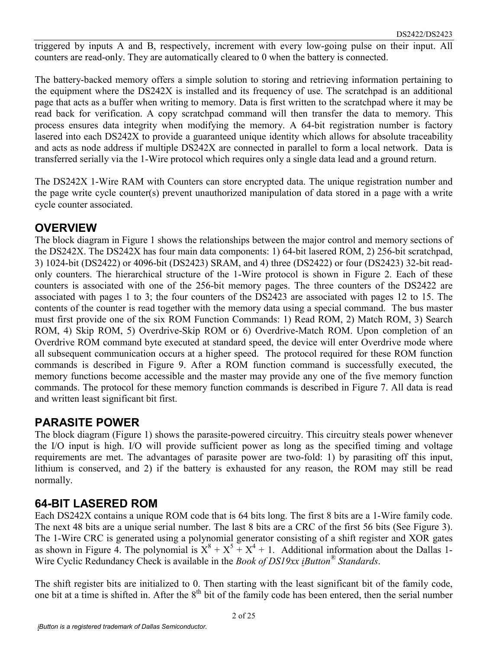triggered by inputs A and B, respectively, increment with every low-going pulse on their input. All counters are read-only. They are automatically cleared to 0 when the battery is connected.

The battery-backed memory offers a simple solution to storing and retrieving information pertaining to the equipment where the DS242X is installed and its frequency of use. The scratchpad is an additional page that acts as a buffer when writing to memory. Data is first written to the scratchpad where it may be read back for verification. A copy scratchpad command will then transfer the data to memory. This process ensures data integrity when modifying the memory. A 64-bit registration number is factory lasered into each DS242X to provide a guaranteed unique identity which allows for absolute traceability and acts as node address if multiple DS242X are connected in parallel to form a local network. Data is transferred serially via the 1-Wire protocol which requires only a single data lead and a ground return.

The DS242X 1-Wire RAM with Counters can store encrypted data. The unique registration number and the page write cycle counter(s) prevent unauthorized manipulation of data stored in a page with a write cycle counter associated.

#### **OVERVIEW**

The block diagram in Figure 1 shows the relationships between the major control and memory sections of the DS242X. The DS242X has four main data components: 1) 64-bit lasered ROM, 2) 256-bit scratchpad, 3) 1024-bit (DS2422) or 4096-bit (DS2423) SRAM, and 4) three (DS2422) or four (DS2423) 32-bit readonly counters. The hierarchical structure of the 1-Wire protocol is shown in Figure 2. Each of these counters is associated with one of the 256-bit memory pages. The three counters of the DS2422 are associated with pages 1 to 3; the four counters of the DS2423 are associated with pages 12 to 15. The contents of the counter is read together with the memory data using a special command. The bus master must first provide one of the six ROM Function Commands: 1) Read ROM, 2) Match ROM, 3) Search ROM, 4) Skip ROM, 5) Overdrive-Skip ROM or 6) Overdrive-Match ROM. Upon completion of an Overdrive ROM command byte executed at standard speed, the device will enter Overdrive mode where all subsequent communication occurs at a higher speed. The protocol required for these ROM function commands is described in Figure 9. After a ROM function command is successfully executed, the memory functions become accessible and the master may provide any one of the five memory function commands. The protocol for these memory function commands is described in Figure 7. All data is read and written least significant bit first.

#### **PARASITE POWER**

The block diagram (Figure 1) shows the parasite-powered circuitry. This circuitry steals power whenever the I/O input is high. I/O will provide sufficient power as long as the specified timing and voltage requirements are met. The advantages of parasite power are two-fold: 1) by parasiting off this input, lithium is conserved, and 2) if the battery is exhausted for any reason, the ROM may still be read normally.

#### **64-BIT LASERED ROM**

Each DS242X contains a unique ROM code that is 64 bits long. The first 8 bits are a 1-Wire family code. The next 48 bits are a unique serial number. The last 8 bits are a CRC of the first 56 bits (See Figure 3). The 1-Wire CRC is generated using a polynomial generator consisting of a shift register and XOR gates as shown in Figure 4. The polynomial is  $X^8 + X^5 + X^4 + 1$ . Additional information about the Dallas 1-Wire Cyclic Redundancy Check is available in the *Book of DS19xx iButton® Standards*.

The shift register bits are initialized to 0. Then starting with the least significant bit of the family code, one bit at a time is shifted in. After the 8<sup>th</sup> bit of the family code has been entered, then the serial number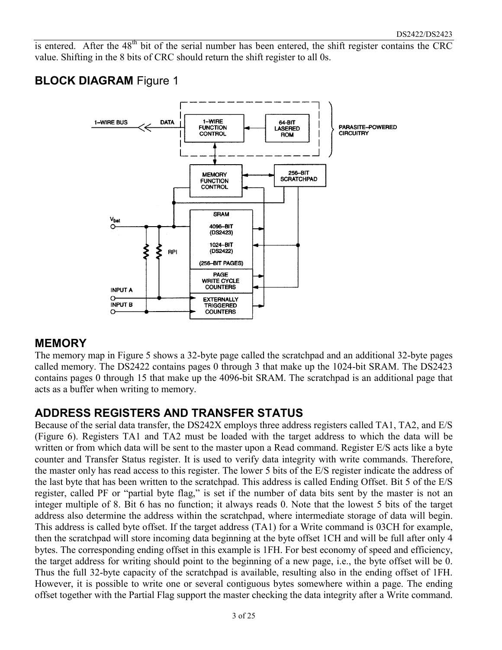is entered. After the  $48<sup>th</sup>$  bit of the serial number has been entered, the shift register contains the CRC value. Shifting in the 8 bits of CRC should return the shift register to all 0s.

## **BLOCK DIAGRAM** Figure 1



#### **MEMORY**

The memory map in Figure 5 shows a 32-byte page called the scratchpad and an additional 32-byte pages called memory. The DS2422 contains pages 0 through 3 that make up the 1024-bit SRAM. The DS2423 contains pages 0 through 15 that make up the 4096-bit SRAM. The scratchpad is an additional page that acts as a buffer when writing to memory.

### **ADDRESS REGISTERS AND TRANSFER STATUS**

Because of the serial data transfer, the DS242X employs three address registers called TA1, TA2, and E/S (Figure 6). Registers TA1 and TA2 must be loaded with the target address to which the data will be written or from which data will be sent to the master upon a Read command. Register E/S acts like a byte counter and Transfer Status register. It is used to verify data integrity with write commands. Therefore, the master only has read access to this register. The lower 5 bits of the E/S register indicate the address of the last byte that has been written to the scratchpad. This address is called Ending Offset. Bit 5 of the E/S register, called PF or "partial byte flag," is set if the number of data bits sent by the master is not an integer multiple of 8. Bit 6 has no function; it always reads 0. Note that the lowest 5 bits of the target address also determine the address within the scratchpad, where intermediate storage of data will begin. This address is called byte offset. If the target address (TA1) for a Write command is 03CH for example, then the scratchpad will store incoming data beginning at the byte offset 1CH and will be full after only 4 bytes. The corresponding ending offset in this example is 1FH. For best economy of speed and efficiency, the target address for writing should point to the beginning of a new page, i.e., the byte offset will be 0. Thus the full 32-byte capacity of the scratchpad is available, resulting also in the ending offset of 1FH. However, it is possible to write one or several contiguous bytes somewhere within a page. The ending offset together with the Partial Flag support the master checking the data integrity after a Write command.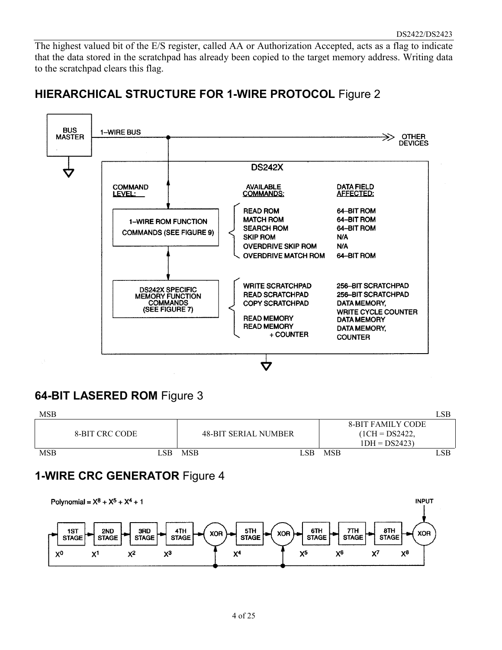The highest valued bit of the E/S register, called AA or Authorization Accepted, acts as a flag to indicate that the data stored in the scratchpad has already been copied to the target memory address. Writing data to the scratchpad clears this flag.

## **HIERARCHICAL STRUCTURE FOR 1-WIRE PROTOCOL** Figure 2



## **64-BIT LASERED ROM** Figure 3



## **1-WIRE CRC GENERATOR** Figure 4

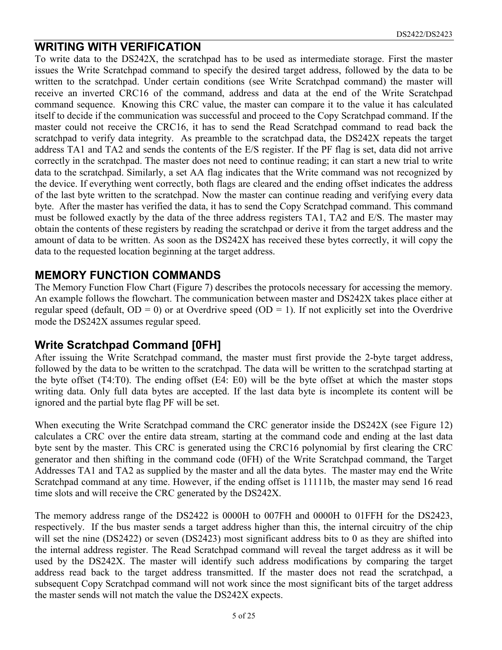#### **WRITING WITH VERIFICATION**

To write data to the DS242X, the scratchpad has to be used as intermediate storage. First the master issues the Write Scratchpad command to specify the desired target address, followed by the data to be written to the scratchpad. Under certain conditions (see Write Scratchpad command) the master will receive an inverted CRC16 of the command, address and data at the end of the Write Scratchpad command sequence. Knowing this CRC value, the master can compare it to the value it has calculated itself to decide if the communication was successful and proceed to the Copy Scratchpad command. If the master could not receive the CRC16, it has to send the Read Scratchpad command to read back the scratchpad to verify data integrity. As preamble to the scratchpad data, the DS242X repeats the target address TA1 and TA2 and sends the contents of the E/S register. If the PF flag is set, data did not arrive correctly in the scratchpad. The master does not need to continue reading; it can start a new trial to write data to the scratchpad. Similarly, a set AA flag indicates that the Write command was not recognized by the device. If everything went correctly, both flags are cleared and the ending offset indicates the address of the last byte written to the scratchpad. Now the master can continue reading and verifying every data byte. After the master has verified the data, it has to send the Copy Scratchpad command. This command must be followed exactly by the data of the three address registers TA1, TA2 and E/S. The master may obtain the contents of these registers by reading the scratchpad or derive it from the target address and the amount of data to be written. As soon as the DS242X has received these bytes correctly, it will copy the data to the requested location beginning at the target address.

#### **MEMORY FUNCTION COMMANDS**

The Memory Function Flow Chart (Figure 7) describes the protocols necessary for accessing the memory. An example follows the flowchart. The communication between master and DS242X takes place either at regular speed (default,  $OD = 0$ ) or at Overdrive speed ( $OD = 1$ ). If not explicitly set into the Overdrive mode the DS242X assumes regular speed.

#### **Write Scratchpad Command [0FH]**

After issuing the Write Scratchpad command, the master must first provide the 2-byte target address, followed by the data to be written to the scratchpad. The data will be written to the scratchpad starting at the byte offset (T4:T0). The ending offset (E4: E0) will be the byte offset at which the master stops writing data. Only full data bytes are accepted. If the last data byte is incomplete its content will be ignored and the partial byte flag PF will be set.

When executing the Write Scratchpad command the CRC generator inside the DS242X (see Figure 12) calculates a CRC over the entire data stream, starting at the command code and ending at the last data byte sent by the master. This CRC is generated using the CRC16 polynomial by first clearing the CRC generator and then shifting in the command code (0FH) of the Write Scratchpad command, the Target Addresses TA1 and TA2 as supplied by the master and all the data bytes. The master may end the Write Scratchpad command at any time. However, if the ending offset is 11111b, the master may send 16 read time slots and will receive the CRC generated by the DS242X.

The memory address range of the DS2422 is 0000H to 007FH and 0000H to 01FFH for the DS2423, respectively. If the bus master sends a target address higher than this, the internal circuitry of the chip will set the nine (DS2422) or seven (DS2423) most significant address bits to 0 as they are shifted into the internal address register. The Read Scratchpad command will reveal the target address as it will be used by the DS242X. The master will identify such address modifications by comparing the target address read back to the target address transmitted. If the master does not read the scratchpad, a subsequent Copy Scratchpad command will not work since the most significant bits of the target address the master sends will not match the value the DS242X expects.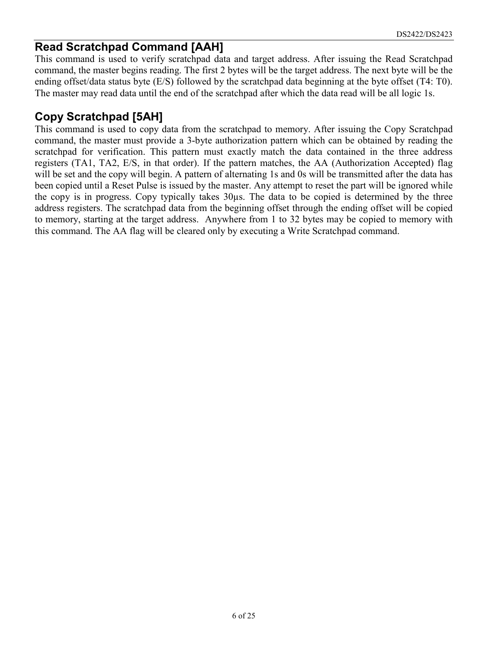### **Read Scratchpad Command [AAH]**

This command is used to verify scratchpad data and target address. After issuing the Read Scratchpad command, the master begins reading. The first 2 bytes will be the target address. The next byte will be the ending offset/data status byte (E/S) followed by the scratchpad data beginning at the byte offset (T4: T0). The master may read data until the end of the scratchpad after which the data read will be all logic 1s.

## **Copy Scratchpad [5AH]**

This command is used to copy data from the scratchpad to memory. After issuing the Copy Scratchpad command, the master must provide a 3-byte authorization pattern which can be obtained by reading the scratchpad for verification. This pattern must exactly match the data contained in the three address registers (TA1, TA2, E/S, in that order). If the pattern matches, the AA (Authorization Accepted) flag will be set and the copy will begin. A pattern of alternating 1s and 0s will be transmitted after the data has been copied until a Reset Pulse is issued by the master. Any attempt to reset the part will be ignored while the copy is in progress. Copy typically takes 30µs. The data to be copied is determined by the three address registers. The scratchpad data from the beginning offset through the ending offset will be copied to memory, starting at the target address. Anywhere from 1 to 32 bytes may be copied to memory with this command. The AA flag will be cleared only by executing a Write Scratchpad command.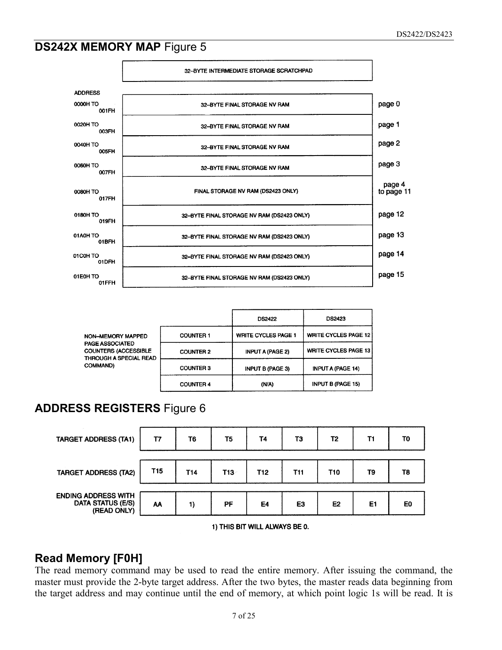## **DS242X MEMORY MAP Figure 5**



|                                                                                                                        |                  | <b>DS2422</b>              | <b>DS2423</b>               |  |
|------------------------------------------------------------------------------------------------------------------------|------------------|----------------------------|-----------------------------|--|
| NON-MEMORY MAPPED<br><b>PAGE ASSOCIATED</b><br><b>COUNTERS (ACCESSIBLE</b><br>THROUGH A SPECIAL READ<br><b>COMMAND</b> | <b>COUNTER 1</b> | <b>WRITE CYCLES PAGE 1</b> | <b>WRITE CYCLES PAGE 12</b> |  |
|                                                                                                                        | <b>COUNTER 2</b> | <b>INPUT A (PAGE 2)</b>    | <b>WRITE CYCLES PAGE 13</b> |  |
|                                                                                                                        | <b>COUNTER 3</b> | <b>INPUT B (PAGE 3)</b>    | INPUT A (PAGE 14)           |  |
|                                                                                                                        | <b>COUNTER 4</b> | (N/A)                      | <b>INPUT B (PAGE 15)</b>    |  |

## **ADDRESS REGISTERS** Figure 6



1) THIS BIT WILL ALWAYS BE 0.

### **Read Memory [F0H]**

The read memory command may be used to read the entire memory. After issuing the command, the master must provide the 2-byte target address. After the two bytes, the master reads data beginning from the target address and may continue until the end of memory, at which point logic 1s will be read. It is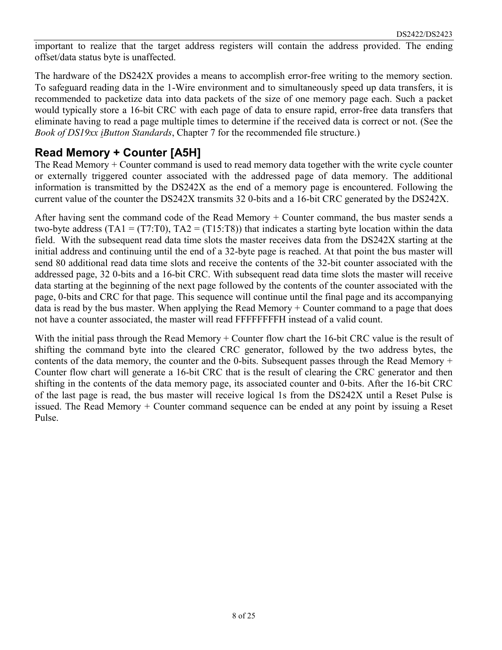important to realize that the target address registers will contain the address provided. The ending offset/data status byte is unaffected.

The hardware of the DS242X provides a means to accomplish error-free writing to the memory section. To safeguard reading data in the 1-Wire environment and to simultaneously speed up data transfers, it is recommended to packetize data into data packets of the size of one memory page each. Such a packet would typically store a 16-bit CRC with each page of data to ensure rapid, error-free data transfers that eliminate having to read a page multiple times to determine if the received data is correct or not. (See the *Book of DS19xx iButton Standards*, Chapter 7 for the recommended file structure.)

## **Read Memory + Counter [A5H]**

The Read Memory + Counter command is used to read memory data together with the write cycle counter or externally triggered counter associated with the addressed page of data memory. The additional information is transmitted by the DS242X as the end of a memory page is encountered. Following the current value of the counter the DS242X transmits 32 0-bits and a 16-bit CRC generated by the DS242X.

After having sent the command code of the Read Memory + Counter command, the bus master sends a two-byte address (TA1 = (T7:T0), TA2 = (T15:T8)) that indicates a starting byte location within the data field. With the subsequent read data time slots the master receives data from the DS242X starting at the initial address and continuing until the end of a 32-byte page is reached. At that point the bus master will send 80 additional read data time slots and receive the contents of the 32-bit counter associated with the addressed page, 32 0-bits and a 16-bit CRC. With subsequent read data time slots the master will receive data starting at the beginning of the next page followed by the contents of the counter associated with the page, 0-bits and CRC for that page. This sequence will continue until the final page and its accompanying data is read by the bus master. When applying the Read Memory + Counter command to a page that does not have a counter associated, the master will read FFFFFFFFH instead of a valid count.

With the initial pass through the Read Memory + Counter flow chart the 16-bit CRC value is the result of shifting the command byte into the cleared CRC generator, followed by the two address bytes, the contents of the data memory, the counter and the 0-bits. Subsequent passes through the Read Memory + Counter flow chart will generate a 16-bit CRC that is the result of clearing the CRC generator and then shifting in the contents of the data memory page, its associated counter and 0-bits. After the 16-bit CRC of the last page is read, the bus master will receive logical 1s from the DS242X until a Reset Pulse is issued. The Read Memory + Counter command sequence can be ended at any point by issuing a Reset Pulse.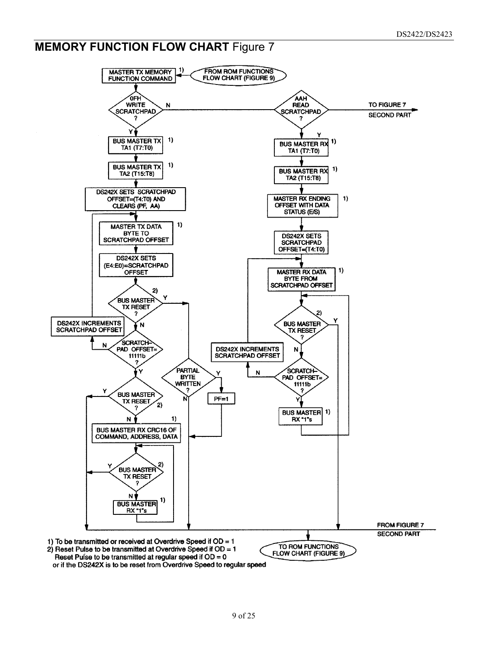## **MEMORY FUNCTION FLOW CHART Figure 7**

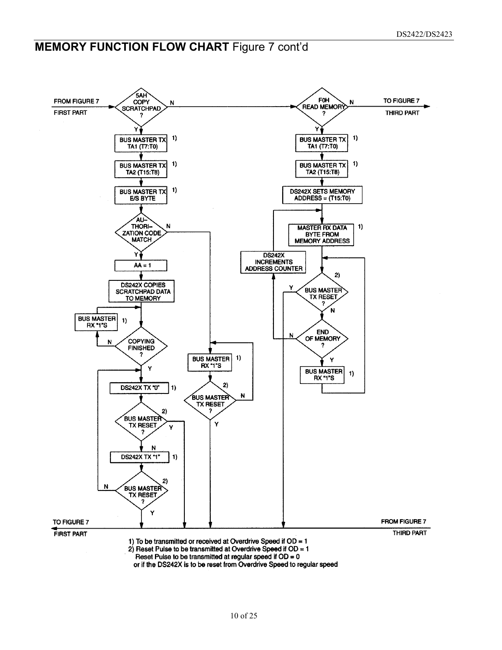## **MEMORY FUNCTION FLOW CHART Figure 7 cont'd**



or if the DS242X is to be reset from Overdrive Speed to regular speed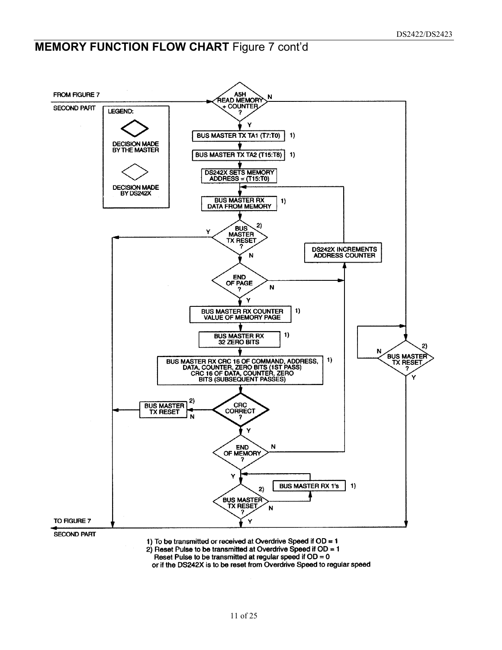## **MEMORY FUNCTION FLOW CHART Figure 7 cont'd**



1) To be transmitted or received at Overdrive Speed if  $OD = 1$ 

2) Reset Pulse to be transmitted at Overdrive Speed if  $OD = 1$ 

Reset Pulse to be transmitted at reqular speed if  $OD = 0$ 

or if the DS242X is to be reset from Overdrive Speed to regular speed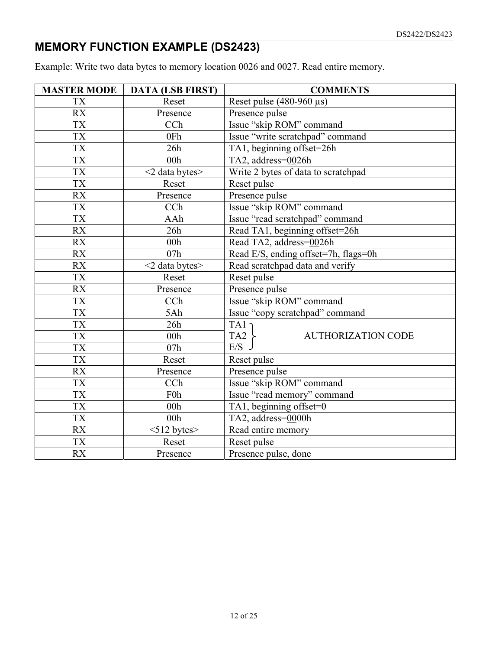## **MEMORY FUNCTION EXAMPLE (DS2423)**

Example: Write two data bytes to memory location 0026 and 0027. Read entire memory.

| <b>MASTER MODE</b> | <b>DATA (LSB FIRST)</b> | <b>COMMENTS</b>                              |  |  |  |  |
|--------------------|-------------------------|----------------------------------------------|--|--|--|--|
| <b>TX</b>          | Reset                   | Reset pulse $(480-960 \,\mu s)$              |  |  |  |  |
| <b>RX</b>          | Presence                | Presence pulse                               |  |  |  |  |
| <b>TX</b>          | CCh                     | Issue "skip ROM" command                     |  |  |  |  |
| $\overline{TX}$    | 0Fh                     | Issue "write scratchpad" command             |  |  |  |  |
| <b>TX</b>          | 26h                     | TA1, beginning offset=26h                    |  |  |  |  |
| <b>TX</b>          | 00h                     | TA2, address=0026h                           |  |  |  |  |
| <b>TX</b>          | $<$ 2 data bytes $>$    | Write 2 bytes of data to scratchpad          |  |  |  |  |
| <b>TX</b>          | Reset                   | Reset pulse                                  |  |  |  |  |
| <b>RX</b>          | Presence                | Presence pulse                               |  |  |  |  |
| <b>TX</b>          | CCh                     | Issue "skip ROM" command                     |  |  |  |  |
| <b>TX</b>          | AAh                     | Issue "read scratchpad" command              |  |  |  |  |
| <b>RX</b>          | 26h                     | Read TA1, beginning offset=26h               |  |  |  |  |
| <b>RX</b>          | 00h                     | Read TA2, address=0026h                      |  |  |  |  |
| <b>RX</b>          | 07h                     | Read E/S, ending offset=7h, flags=0h         |  |  |  |  |
| <b>RX</b>          | $<$ 2 data bytes $>$    | Read scratchpad data and verify              |  |  |  |  |
| <b>TX</b>          | Reset                   | Reset pulse                                  |  |  |  |  |
| <b>RX</b>          | Presence                | Presence pulse                               |  |  |  |  |
| <b>TX</b>          | CCh                     | Issue "skip ROM" command                     |  |  |  |  |
| <b>TX</b>          | 5Ah                     | Issue "copy scratchpad" command              |  |  |  |  |
| <b>TX</b>          | 26h                     | TA1                                          |  |  |  |  |
| <b>TX</b>          | 00h                     | TA <sub>2</sub><br><b>AUTHORIZATION CODE</b> |  |  |  |  |
| <b>TX</b>          | 07h                     | E/S                                          |  |  |  |  |
| <b>TX</b>          | Reset                   | Reset pulse                                  |  |  |  |  |
| <b>RX</b>          | Presence                | Presence pulse                               |  |  |  |  |
| <b>TX</b>          | CCh                     | Issue "skip ROM" command                     |  |  |  |  |
| <b>TX</b>          | F <sub>0</sub> h        | Issue "read memory" command                  |  |  |  |  |
| <b>TX</b>          | 00 <sub>h</sub>         | TA1, beginning offset=0                      |  |  |  |  |
| <b>TX</b>          | 00h                     | TA2, address=0000h                           |  |  |  |  |
| <b>RX</b>          | $<$ 512 bytes $>$       | Read entire memory                           |  |  |  |  |
| <b>TX</b>          | Reset                   | Reset pulse                                  |  |  |  |  |
| <b>RX</b>          | Presence                | Presence pulse, done                         |  |  |  |  |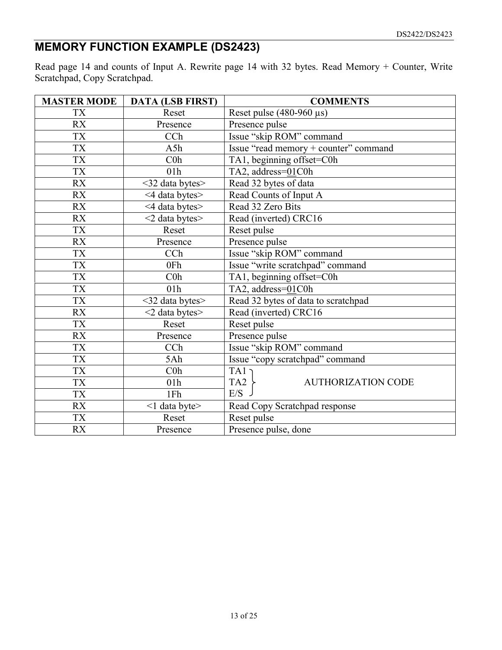## **MEMORY FUNCTION EXAMPLE (DS2423)**

Read page 14 and counts of Input A. Rewrite page 14 with 32 bytes. Read Memory + Counter, Write Scratchpad, Copy Scratchpad.

| <b>MASTER MODE</b> | <b>DATA (LSB FIRST)</b> | <b>COMMENTS</b>                              |  |  |  |  |  |
|--------------------|-------------------------|----------------------------------------------|--|--|--|--|--|
| <b>TX</b>          | Reset                   | Reset pulse $(480-960 \,\mu s)$              |  |  |  |  |  |
| <b>RX</b>          | Presence                | Presence pulse                               |  |  |  |  |  |
| <b>TX</b>          | CCh                     | Issue "skip ROM" command                     |  |  |  |  |  |
| <b>TX</b>          | A5h                     | Issue "read memory + counter" command        |  |  |  |  |  |
| <b>TX</b>          | C <sub>0</sub>          | TA1, beginning offset=C0h                    |  |  |  |  |  |
| <b>TX</b>          | 01 <sub>h</sub>         | TA2, address=01C0h                           |  |  |  |  |  |
| <b>RX</b>          | <32 data bytes>         | Read 32 bytes of data                        |  |  |  |  |  |
| <b>RX</b>          | <4 data bytes>          | Read Counts of Input A                       |  |  |  |  |  |
| <b>RX</b>          | <4 data bytes>          | Read 32 Zero Bits                            |  |  |  |  |  |
| <b>RX</b>          | $<$ 2 data bytes $>$    | Read (inverted) CRC16                        |  |  |  |  |  |
| <b>TX</b>          | Reset                   | Reset pulse                                  |  |  |  |  |  |
| <b>RX</b>          | Presence                | Presence pulse                               |  |  |  |  |  |
| TX                 | CCh                     | Issue "skip ROM" command                     |  |  |  |  |  |
| <b>TX</b>          | 0Fh                     | Issue "write scratchpad" command             |  |  |  |  |  |
| <b>TX</b>          | $C0$ h                  | TA1, beginning offset=C0h                    |  |  |  |  |  |
| <b>TX</b>          | 01h                     | TA2, address=01C0h                           |  |  |  |  |  |
| TX                 | $<$ 32 data bytes $>$   | Read 32 bytes of data to scratchpad          |  |  |  |  |  |
| <b>RX</b>          | $<$ 2 data bytes $>$    | Read (inverted) CRC16                        |  |  |  |  |  |
| <b>TX</b>          | Reset                   | Reset pulse                                  |  |  |  |  |  |
| <b>RX</b>          | Presence                | Presence pulse                               |  |  |  |  |  |
| <b>TX</b>          | CCh                     | Issue "skip ROM" command                     |  |  |  |  |  |
| <b>TX</b>          | 5Ah                     | Issue "copy scratchpad" command              |  |  |  |  |  |
| <b>TX</b>          | C <sub>0</sub> h        | TA1                                          |  |  |  |  |  |
| <b>TX</b>          | 01 <sub>h</sub>         | TA <sub>2</sub><br><b>AUTHORIZATION CODE</b> |  |  |  |  |  |
| <b>TX</b>          | 1Fh                     | E/S                                          |  |  |  |  |  |
| <b>RX</b>          | <1 data byte>           | Read Copy Scratchpad response                |  |  |  |  |  |
| <b>TX</b>          | Reset                   | Reset pulse                                  |  |  |  |  |  |
| <b>RX</b>          | Presence                | Presence pulse, done                         |  |  |  |  |  |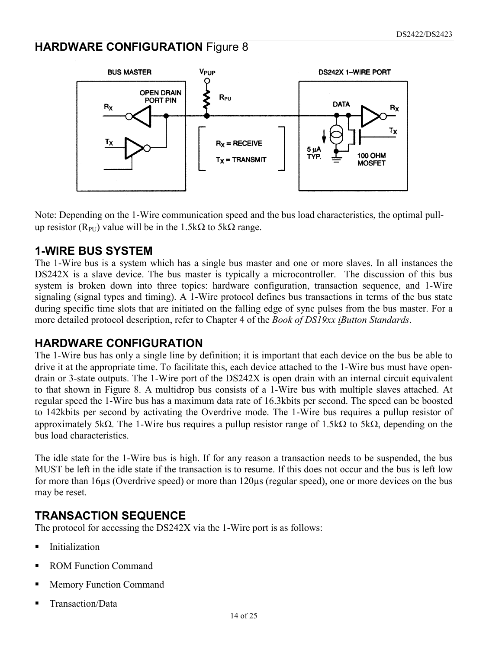## **HARDWARE CONFIGURATION** Figure 8



Note: Depending on the 1-Wire communication speed and the bus load characteristics, the optimal pullup resistor ( $R_{PI}$ ) value will be in the 1.5k $\Omega$  to 5k $\Omega$  range.

#### **1-WIRE BUS SYSTEM**

The 1-Wire bus is a system which has a single bus master and one or more slaves. In all instances the DS242X is a slave device. The bus master is typically a microcontroller. The discussion of this bus system is broken down into three topics: hardware configuration, transaction sequence, and 1-Wire signaling (signal types and timing). A 1-Wire protocol defines bus transactions in terms of the bus state during specific time slots that are initiated on the falling edge of sync pulses from the bus master. For a more detailed protocol description, refer to Chapter 4 of the *Book of DS19xx iButton Standards*.

#### **HARDWARE CONFIGURATION**

The 1-Wire bus has only a single line by definition; it is important that each device on the bus be able to drive it at the appropriate time. To facilitate this, each device attached to the 1-Wire bus must have opendrain or 3-state outputs. The 1-Wire port of the DS242X is open drain with an internal circuit equivalent to that shown in Figure 8. A multidrop bus consists of a 1-Wire bus with multiple slaves attached. At regular speed the 1-Wire bus has a maximum data rate of 16.3kbits per second. The speed can be boosted to 142kbits per second by activating the Overdrive mode. The 1-Wire bus requires a pullup resistor of approximately 5k $\Omega$ . The 1-Wire bus requires a pullup resistor range of 1.5k $\Omega$  to 5k $\Omega$ , depending on the bus load characteristics.

The idle state for the 1-Wire bus is high. If for any reason a transaction needs to be suspended, the bus MUST be left in the idle state if the transaction is to resume. If this does not occur and the bus is left low for more than 16µs (Overdrive speed) or more than 120µs (regular speed), one or more devices on the bus may be reset.

### **TRANSACTION SEQUENCE**

The protocol for accessing the DS242X via the 1-Wire port is as follows:

- **Initialization**
- ROM Function Command
- Memory Function Command
- Transaction/Data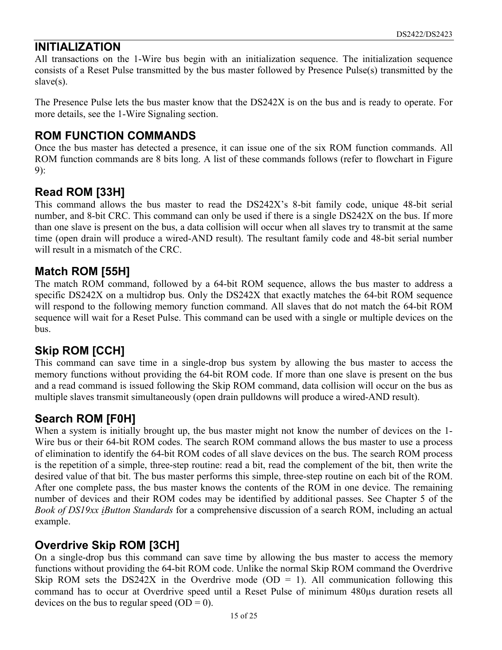#### **INITIALIZATION**

All transactions on the 1-Wire bus begin with an initialization sequence. The initialization sequence consists of a Reset Pulse transmitted by the bus master followed by Presence Pulse(s) transmitted by the slave(s).

The Presence Pulse lets the bus master know that the DS242X is on the bus and is ready to operate. For more details, see the 1-Wire Signaling section.

#### **ROM FUNCTION COMMANDS**

Once the bus master has detected a presence, it can issue one of the six ROM function commands. All ROM function commands are 8 bits long. A list of these commands follows (refer to flowchart in Figure 9):

#### **Read ROM [33H]**

This command allows the bus master to read the DS242X's 8-bit family code, unique 48-bit serial number, and 8-bit CRC. This command can only be used if there is a single DS242X on the bus. If more than one slave is present on the bus, a data collision will occur when all slaves try to transmit at the same time (open drain will produce a wired-AND result). The resultant family code and 48-bit serial number will result in a mismatch of the CRC.

#### **Match ROM [55H]**

The match ROM command, followed by a 64-bit ROM sequence, allows the bus master to address a specific DS242X on a multidrop bus. Only the DS242X that exactly matches the 64-bit ROM sequence will respond to the following memory function command. All slaves that do not match the 64-bit ROM sequence will wait for a Reset Pulse. This command can be used with a single or multiple devices on the bus.

### **Skip ROM [CCH]**

This command can save time in a single-drop bus system by allowing the bus master to access the memory functions without providing the 64-bit ROM code. If more than one slave is present on the bus and a read command is issued following the Skip ROM command, data collision will occur on the bus as multiple slaves transmit simultaneously (open drain pulldowns will produce a wired-AND result).

### **Search ROM [F0H]**

When a system is initially brought up, the bus master might not know the number of devices on the 1- Wire bus or their 64-bit ROM codes. The search ROM command allows the bus master to use a process of elimination to identify the 64-bit ROM codes of all slave devices on the bus. The search ROM process is the repetition of a simple, three-step routine: read a bit, read the complement of the bit, then write the desired value of that bit. The bus master performs this simple, three-step routine on each bit of the ROM. After one complete pass, the bus master knows the contents of the ROM in one device. The remaining number of devices and their ROM codes may be identified by additional passes. See Chapter 5 of the *Book of DS19xx iButton Standards* for a comprehensive discussion of a search ROM, including an actual example.

### **Overdrive Skip ROM [3CH]**

On a single-drop bus this command can save time by allowing the bus master to access the memory functions without providing the 64-bit ROM code. Unlike the normal Skip ROM command the Overdrive Skip ROM sets the DS242X in the Overdrive mode (OD = 1). All communication following this command has to occur at Overdrive speed until a Reset Pulse of minimum 480µs duration resets all devices on the bus to regular speed  $(OD = 0)$ .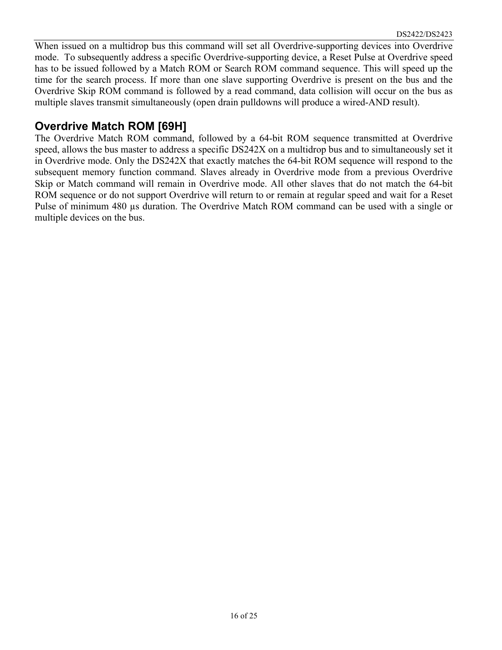When issued on a multidrop bus this command will set all Overdrive-supporting devices into Overdrive mode. To subsequently address a specific Overdrive-supporting device, a Reset Pulse at Overdrive speed has to be issued followed by a Match ROM or Search ROM command sequence. This will speed up the time for the search process. If more than one slave supporting Overdrive is present on the bus and the Overdrive Skip ROM command is followed by a read command, data collision will occur on the bus as multiple slaves transmit simultaneously (open drain pulldowns will produce a wired-AND result).

### **Overdrive Match ROM [69H]**

The Overdrive Match ROM command, followed by a 64-bit ROM sequence transmitted at Overdrive speed, allows the bus master to address a specific DS242X on a multidrop bus and to simultaneously set it in Overdrive mode. Only the DS242X that exactly matches the 64-bit ROM sequence will respond to the subsequent memory function command. Slaves already in Overdrive mode from a previous Overdrive Skip or Match command will remain in Overdrive mode. All other slaves that do not match the 64-bit ROM sequence or do not support Overdrive will return to or remain at regular speed and wait for a Reset Pulse of minimum 480 µs duration. The Overdrive Match ROM command can be used with a single or multiple devices on the bus.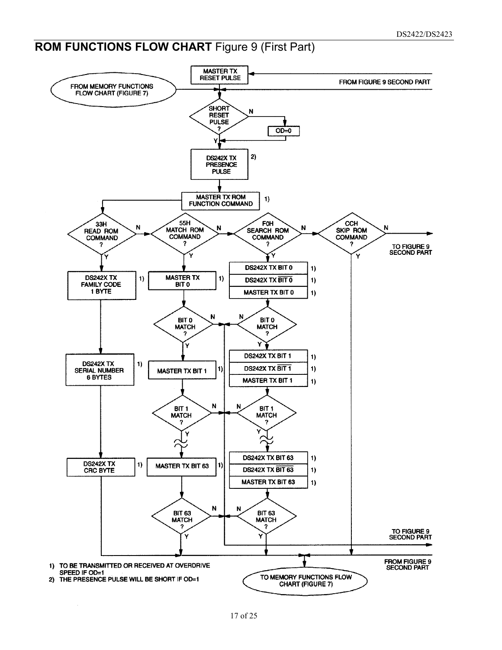## **ROM FUNCTIONS FLOW CHART** Figure 9 (First Part)

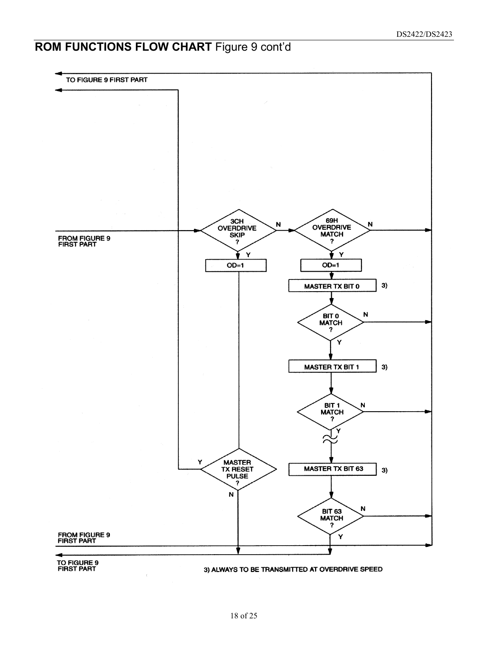## **ROM FUNCTIONS FLOW CHART** Figure 9 cont'd

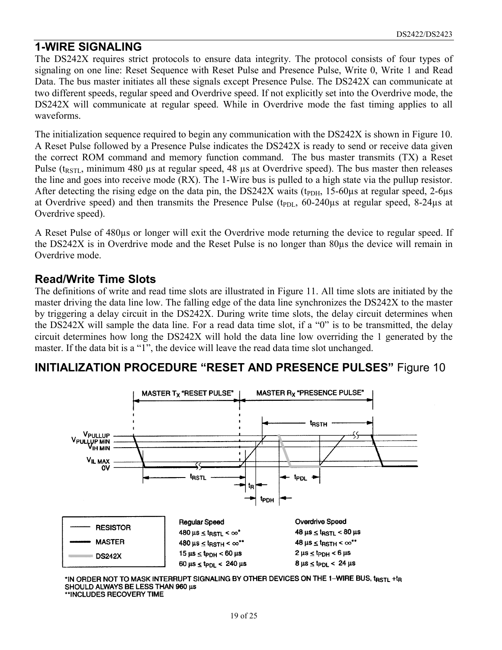#### **1-WIRE SIGNALING**

The DS242X requires strict protocols to ensure data integrity. The protocol consists of four types of signaling on one line: Reset Sequence with Reset Pulse and Presence Pulse, Write 0, Write 1 and Read Data. The bus master initiates all these signals except Presence Pulse. The DS242X can communicate at two different speeds, regular speed and Overdrive speed. If not explicitly set into the Overdrive mode, the DS242X will communicate at regular speed. While in Overdrive mode the fast timing applies to all waveforms.

The initialization sequence required to begin any communication with the DS242X is shown in Figure 10. A Reset Pulse followed by a Presence Pulse indicates the DS242X is ready to send or receive data given the correct ROM command and memory function command. The bus master transmits (TX) a Reset Pulse ( $t_{RSTL}$ , minimum 480 µs at regular speed, 48 µs at Overdrive speed). The bus master then releases the line and goes into receive mode (RX). The 1-Wire bus is pulled to a high state via the pullup resistor. After detecting the rising edge on the data pin, the DS242X waits ( $t_{\text{PDH}}$ , 15-60 $\mu$ s at regular speed, 2-6 $\mu$ s at Overdrive speed) and then transmits the Presence Pulse ( $t_{PDL}$ , 60-240 $\mu$ s at regular speed, 8-24 $\mu$ s at Overdrive speed).

A Reset Pulse of 480µs or longer will exit the Overdrive mode returning the device to regular speed. If the DS242X is in Overdrive mode and the Reset Pulse is no longer than 80µs the device will remain in Overdrive mode.

#### **Read/Write Time Slots**

The definitions of write and read time slots are illustrated in Figure 11. All time slots are initiated by the master driving the data line low. The falling edge of the data line synchronizes the DS242X to the master by triggering a delay circuit in the DS242X. During write time slots, the delay circuit determines when the DS242X will sample the data line. For a read data time slot, if a "0" is to be transmitted, the delay circuit determines how long the DS242X will hold the data line low overriding the 1 generated by the master. If the data bit is a "1", the device will leave the read data time slot unchanged.

#### **INITIALIZATION PROCEDURE "RESET AND PRESENCE PULSES"** Figure 10



\*IN ORDER NOT TO MASK INTERRUPT SIGNALING BY OTHER DEVICES ON THE 1-WIRE BUS, t<sub>rstl</sub> +t<sub>r</sub> SHOULD ALWAYS BE LESS THAN 960 µs \*\*INCLUDES RECOVERY TIME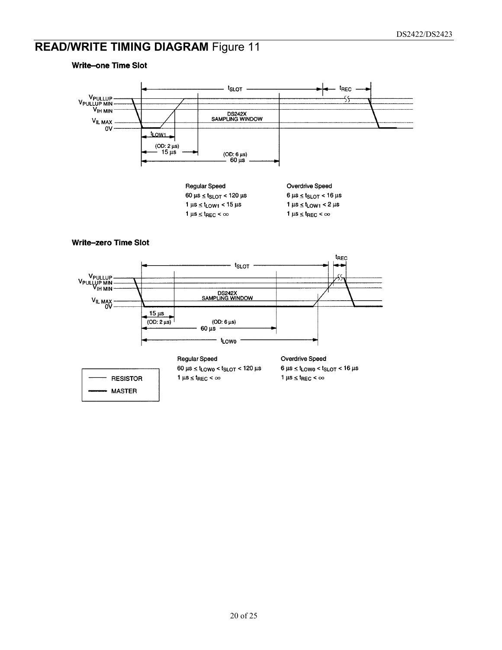# **READ/WRITE TIMING DIAGRAM Figure 11**



**Write-one Time Slot**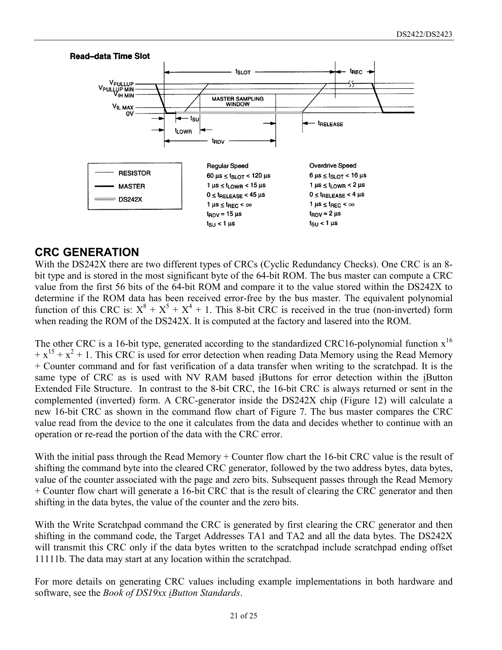

### **CRC GENERATION**

With the DS242X there are two different types of CRCs (Cyclic Redundancy Checks). One CRC is an 8 bit type and is stored in the most significant byte of the 64-bit ROM. The bus master can compute a CRC value from the first 56 bits of the 64-bit ROM and compare it to the value stored within the DS242X to determine if the ROM data has been received error-free by the bus master. The equivalent polynomial function of this CRC is:  $X^8 + X^5 + X^4 + 1$ . This 8-bit CRC is received in the true (non-inverted) form when reading the ROM of the DS242X. It is computed at the factory and lasered into the ROM.

The other CRC is a 16-bit type, generated according to the standardized CRC16-polynomial function  $x^{16}$  $+ x^{15} + x^2 + 1$ . This CRC is used for error detection when reading Data Memory using the Read Memory + Counter command and for fast verification of a data transfer when writing to the scratchpad. It is the same type of CRC as is used with NV RAM based iButtons for error detection within the iButton Extended File Structure. In contrast to the 8-bit CRC, the 16-bit CRC is always returned or sent in the complemented (inverted) form. A CRC-generator inside the DS242X chip (Figure 12) will calculate a new 16-bit CRC as shown in the command flow chart of Figure 7. The bus master compares the CRC value read from the device to the one it calculates from the data and decides whether to continue with an operation or re-read the portion of the data with the CRC error.

With the initial pass through the Read Memory + Counter flow chart the 16-bit CRC value is the result of shifting the command byte into the cleared CRC generator, followed by the two address bytes, data bytes, value of the counter associated with the page and zero bits. Subsequent passes through the Read Memory + Counter flow chart will generate a 16-bit CRC that is the result of clearing the CRC generator and then shifting in the data bytes, the value of the counter and the zero bits.

With the Write Scratchpad command the CRC is generated by first clearing the CRC generator and then shifting in the command code, the Target Addresses TA1 and TA2 and all the data bytes. The DS242X will transmit this CRC only if the data bytes written to the scratchpad include scratchpad ending offset 11111b. The data may start at any location within the scratchpad.

For more details on generating CRC values including example implementations in both hardware and software, see the *Book of DS19xx iButton Standards*.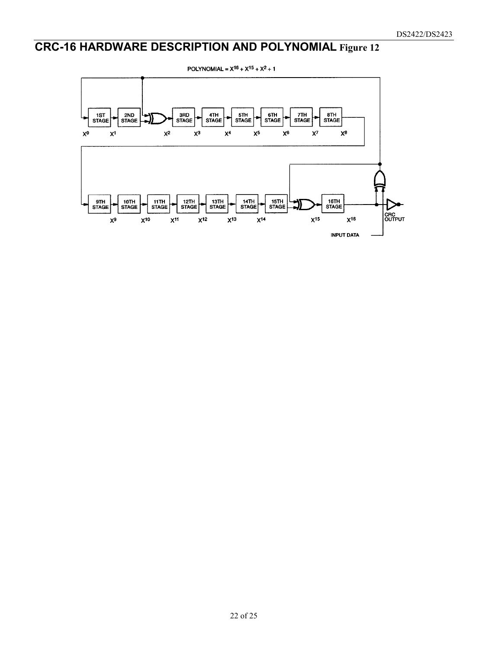# **CRC-16 HARDWARE DESCRIPTION AND POLYNOMIAL Figure 12**

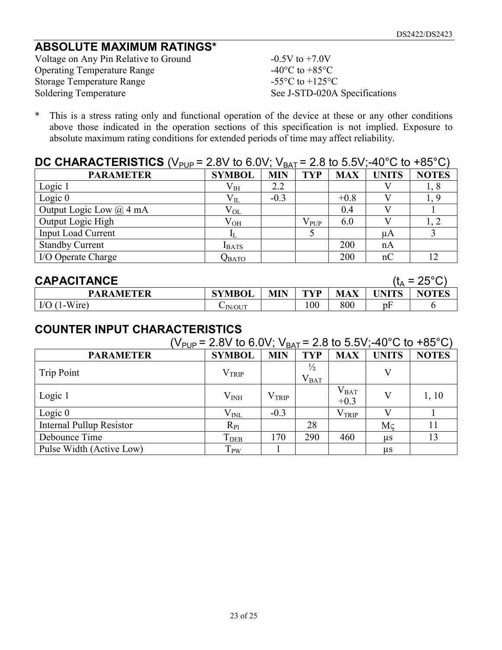## **ABSOLUTE MAXIMUM RATINGS\***

Voltage on Any Pin Relative to Ground  $-0.5V$  to  $+7.0V$ Operating Temperature Range  $-40^{\circ}$ C to  $+85^{\circ}$ C Storage Temperature Range -55°C to +125°C Soldering Temperature See J-STD-020A Specifications

\* This is a stress rating only and functional operation of the device at these or any other conditions above those indicated in the operation sections of this specification is not implied. Exposure to absolute maximum rating conditions for extended periods of time may affect reliability.

#### **DC CHARACTERISTICS** (V<sub>PUP</sub> = 2.8V to 6.0V; V<sub>BAT</sub> = 2.8 to 5.5V;-40<sup>o</sup>C to +85<sup>o</sup>C)

| . .                         |               | - - - -    |               |            |              |              |
|-----------------------------|---------------|------------|---------------|------------|--------------|--------------|
| <b>PARAMETER</b>            | <b>SYMBOL</b> | <b>MIN</b> | <b>TYP</b>    | <b>MAX</b> | <b>UNITS</b> | <b>NOTES</b> |
| Logic 1                     | $\rm V_{IH}$  | 2.2        |               |            |              | 1, 8         |
| Logic $0$                   | $\rm V_{II}$  | $-0.3$     |               | $+0.8$     |              |              |
| Output Logic Low $(a)$ 4 mA | $V_{OL}$      |            |               | 0.4        |              |              |
| Output Logic High           | $\rm V_{OH}$  |            | $\rm V_{PUP}$ | 6.0        |              |              |
| <b>Input Load Current</b>   |               |            |               |            | μA           |              |
| <b>Standby Current</b>      | <b>I</b> BATS |            |               | 200        | nA           |              |
| I/O Operate Charge          | Qвато         |            |               | 200        | nC           |              |

| <b>CAPACITANCE</b>        |               |            |                 |            |              | ( $t_A = 25^{\circ}$ C) |
|---------------------------|---------------|------------|-----------------|------------|--------------|-------------------------|
| <b>PARAMETER</b>          | <b>SYMBOL</b> | <b>MIN</b> | TVP             | <b>MAX</b> | <b>UNITS</b> | <b>NOTES</b>            |
| l-Wire)<br>$\text{IO}$ (1 | $\sim$ IN/OUT |            | $\overline{00}$ | 800        | pł           |                         |

#### **COUNTER INPUT CHARACTERISTICS**

| (V <sub>PUP</sub> = 2.8V to 6.0V; V <sub>BAT</sub> = 2.8 to 5.5V;-40°C to +85°C) |                         |                   |                            |                         |              |              |  |
|----------------------------------------------------------------------------------|-------------------------|-------------------|----------------------------|-------------------------|--------------|--------------|--|
| <b>PARAMETER</b>                                                                 | <b>SYMBOL</b>           | <b>MIN</b>        | <b>TYP</b>                 | <b>MAX</b>              | <b>UNITS</b> | <b>NOTES</b> |  |
| Trip Point                                                                       | $\rm V_{TRIP}$          |                   | $\frac{1}{2}$<br>$V_{BAT}$ |                         |              |              |  |
| Logic 1                                                                          | $\rm V_{\rm INH}$       | V <sub>TRIP</sub> |                            | $\rm V_{BAT}$<br>$+0.3$ | V            | 1, 10        |  |
| Logic $0$                                                                        | $\rm V_{\rm INL}$       | $-0.3$            |                            | $\rm V_{TRIP}$          |              |              |  |
| <b>Internal Pullup Resistor</b>                                                  | $R_{PI}$                |                   | 28                         |                         | Mc           | 11           |  |
| Debounce Time                                                                    | <b>T</b> <sub>DEB</sub> | 170               | 290                        | 460                     | us           | 13           |  |
| Pulse Width (Active Low)                                                         | T <sub>PW</sub>         |                   |                            |                         | $\mu$ s      |              |  |

23 of 25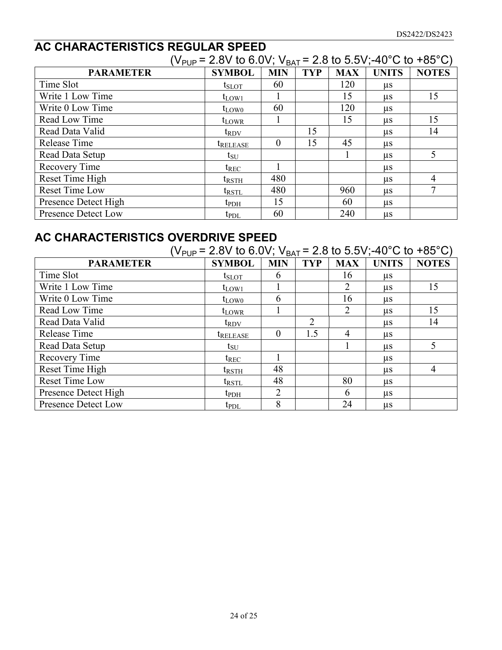## **AC CHARACTERISTICS REGULAR SPEED**

|                      | (V <sub>PUP</sub> = 2.8V to 6.0V; V <sub>BAT</sub> = 2.8 to 5.5V;-40°C to +85°C) |            |            |            |              |              |
|----------------------|----------------------------------------------------------------------------------|------------|------------|------------|--------------|--------------|
| <b>PARAMETER</b>     | <b>SYMBOL</b>                                                                    | <b>MIN</b> | <b>TYP</b> | <b>MAX</b> | <b>UNITS</b> | <b>NOTES</b> |
| Time Slot            | $t_{SLOT}$                                                                       | 60         |            | 120        | us           |              |
| Write 1 Low Time     | $t_{LOW1}$                                                                       |            |            | 15         | $\mu$ s      | 15           |
| Write 0 Low Time     | $t_{LOW0}$                                                                       | 60         |            | 120        | $\mu$ s      |              |
| Read Low Time        | $t_{LOWR}$                                                                       |            |            | 15         | $\mu$ s      | 15           |
| Read Data Valid      | $t_{\rm RDV}$                                                                    |            | 15         |            | $\mu$ s      | 14           |
| Release Time         | <i><b>IRELEASE</b></i>                                                           | $\theta$   | 15         | 45         | $\mu$ s      |              |
| Read Data Setup      | $t_{\rm SU}$                                                                     |            |            |            | us           | 5            |
| Recovery Time        | $t_{REC}$                                                                        |            |            |            | μs           |              |
| Reset Time High      | $t_{\rm RSTH}$                                                                   | 480        |            |            | μs           | 4            |
| Reset Time Low       | t <sub>rstl</sub>                                                                | 480        |            | 960        | $\mu$ s      | 7            |
| Presence Detect High | $t_{\rm{PDH}}$                                                                   | 15         |            | 60         | $\mu$ s      |              |
| Presence Detect Low  | $t_{\text{PDL}}$                                                                 | 60         |            | 240        | $\mu$ s      |              |

## **AC CHARACTERISTICS OVERDRIVE SPEED**

|                      | ( $V_{PUP}$ = 2.8V to 6.0V; $V_{BAT}$ = 2.8 to 5.5V;-40°C to +85°C) |               |            |                |              |              |
|----------------------|---------------------------------------------------------------------|---------------|------------|----------------|--------------|--------------|
| <b>PARAMETER</b>     | <b>SYMBOL</b>                                                       | <b>MIN</b>    | <b>TYP</b> | <b>MAX</b>     | <b>UNITS</b> | <b>NOTES</b> |
| Time Slot            | $t_{\rm SLOT}$                                                      | $\mathfrak b$ |            | 16             | $\mu$ s      |              |
| Write 1 Low Time     | $t_{LOW1}$                                                          |               |            | 2              | $\mu$ s      | 15           |
| Write 0 Low Time     | $t_{LOW0}$                                                          | 6             |            | 16             | $\mu$ s      |              |
| Read Low Time        | $t_{LOWR}$                                                          |               |            | 2              | $\mu$ s      | 15           |
| Read Data Valid      | $t_{\rm RDV}$                                                       |               | 2          |                | $\mu$ s      | 14           |
| Release Time         | <b><i>IRELEASE</i></b>                                              | $\theta$      | 1.5        | $\overline{4}$ | $\mu$ s      |              |
| Read Data Setup      | $t_{\rm SU}$                                                        |               |            |                | $\mu$ s      | 5            |
| Recovery Time        | $t_{REC}$                                                           |               |            |                | $\mu$ s      |              |
| Reset Time High      | trsth                                                               | 48            |            |                | us           | 4            |
| Reset Time Low       | $t_{\rm RSTL}$                                                      | 48            |            | 80             | $\mu$ s      |              |
| Presence Detect High | $t_{\rm{PDH}}$                                                      | 2             |            | 6              | $\mu$ s      |              |
| Presence Detect Low  | $t_{PDL}$                                                           | 8             |            | 24             | $\mu$ s      |              |